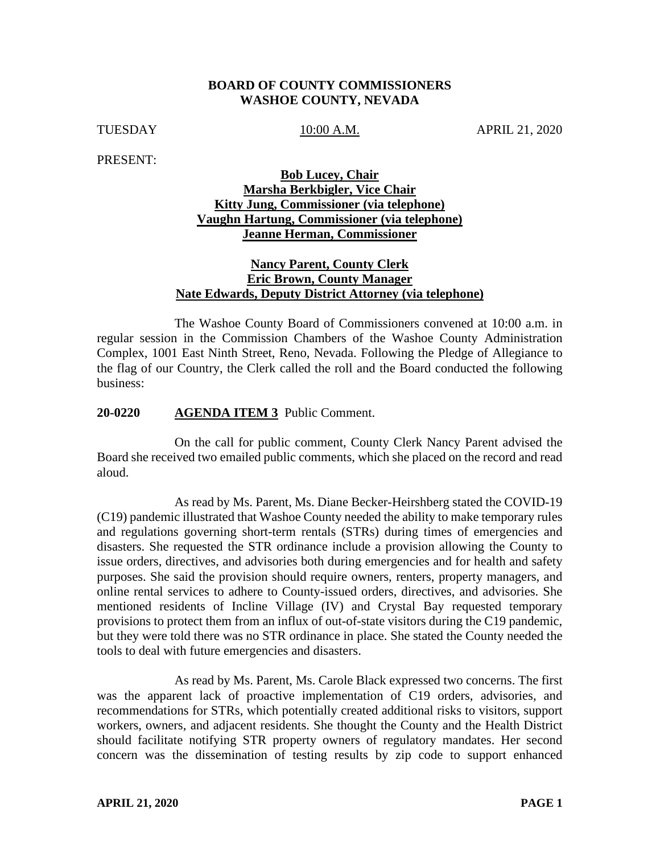#### **BOARD OF COUNTY COMMISSIONERS WASHOE COUNTY, NEVADA**

TUESDAY 10:00 A.M. APRIL 21, 2020

PRESENT:

## **Bob Lucey, Chair Marsha Berkbigler, Vice Chair Kitty Jung, Commissioner (via telephone) Vaughn Hartung, Commissioner (via telephone) Jeanne Herman, Commissioner**

## **Nancy Parent, County Clerk Eric Brown, County Manager Nate Edwards, Deputy District Attorney (via telephone)**

The Washoe County Board of Commissioners convened at 10:00 a.m. in regular session in the Commission Chambers of the Washoe County Administration Complex, 1001 East Ninth Street, Reno, Nevada. Following the Pledge of Allegiance to the flag of our Country, the Clerk called the roll and the Board conducted the following business:

### **20-0220 AGENDA ITEM 3** Public Comment.

On the call for public comment, County Clerk Nancy Parent advised the Board she received two emailed public comments, which she placed on the record and read aloud.

As read by Ms. Parent, Ms. Diane Becker-Heirshberg stated the COVID-19 (C19) pandemic illustrated that Washoe County needed the ability to make temporary rules and regulations governing short-term rentals (STRs) during times of emergencies and disasters. She requested the STR ordinance include a provision allowing the County to issue orders, directives, and advisories both during emergencies and for health and safety purposes. She said the provision should require owners, renters, property managers, and online rental services to adhere to County-issued orders, directives, and advisories. She mentioned residents of Incline Village (IV) and Crystal Bay requested temporary provisions to protect them from an influx of out-of-state visitors during the C19 pandemic, but they were told there was no STR ordinance in place. She stated the County needed the tools to deal with future emergencies and disasters.

As read by Ms. Parent, Ms. Carole Black expressed two concerns. The first was the apparent lack of proactive implementation of C19 orders, advisories, and recommendations for STRs, which potentially created additional risks to visitors, support workers, owners, and adjacent residents. She thought the County and the Health District should facilitate notifying STR property owners of regulatory mandates. Her second concern was the dissemination of testing results by zip code to support enhanced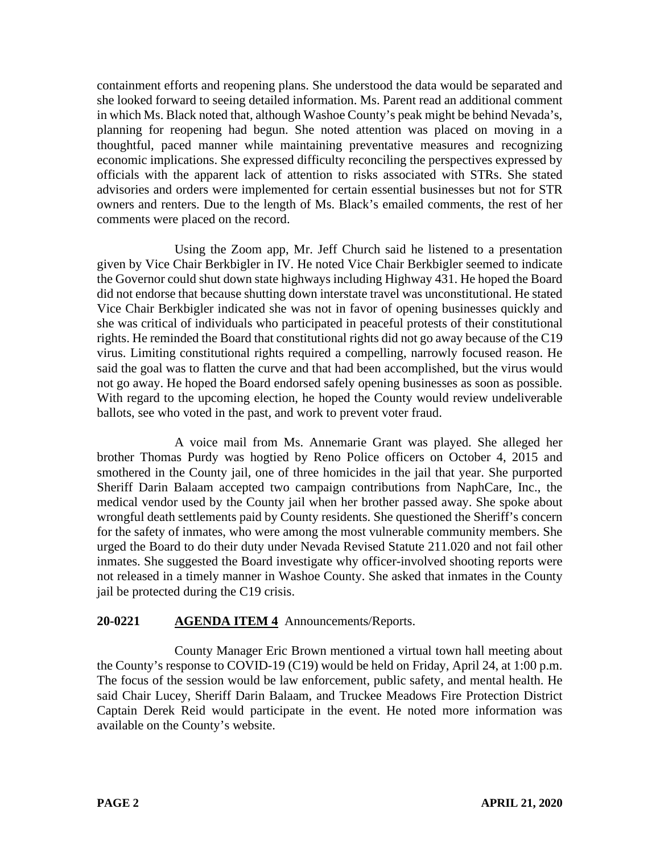containment efforts and reopening plans. She understood the data would be separated and she looked forward to seeing detailed information. Ms. Parent read an additional comment in which Ms. Black noted that, although Washoe County's peak might be behind Nevada's, planning for reopening had begun. She noted attention was placed on moving in a thoughtful, paced manner while maintaining preventative measures and recognizing economic implications. She expressed difficulty reconciling the perspectives expressed by officials with the apparent lack of attention to risks associated with STRs. She stated advisories and orders were implemented for certain essential businesses but not for STR owners and renters. Due to the length of Ms. Black's emailed comments, the rest of her comments were placed on the record.

Using the Zoom app, Mr. Jeff Church said he listened to a presentation given by Vice Chair Berkbigler in IV. He noted Vice Chair Berkbigler seemed to indicate the Governor could shut down state highways including Highway 431. He hoped the Board did not endorse that because shutting down interstate travel was unconstitutional. He stated Vice Chair Berkbigler indicated she was not in favor of opening businesses quickly and she was critical of individuals who participated in peaceful protests of their constitutional rights. He reminded the Board that constitutional rights did not go away because of the C19 virus. Limiting constitutional rights required a compelling, narrowly focused reason. He said the goal was to flatten the curve and that had been accomplished, but the virus would not go away. He hoped the Board endorsed safely opening businesses as soon as possible. With regard to the upcoming election, he hoped the County would review undeliverable ballots, see who voted in the past, and work to prevent voter fraud.

A voice mail from Ms. Annemarie Grant was played. She alleged her brother Thomas Purdy was hogtied by Reno Police officers on October 4, 2015 and smothered in the County jail, one of three homicides in the jail that year. She purported Sheriff Darin Balaam accepted two campaign contributions from NaphCare, Inc., the medical vendor used by the County jail when her brother passed away. She spoke about wrongful death settlements paid by County residents. She questioned the Sheriff's concern for the safety of inmates, who were among the most vulnerable community members. She urged the Board to do their duty under Nevada Revised Statute 211.020 and not fail other inmates. She suggested the Board investigate why officer-involved shooting reports were not released in a timely manner in Washoe County. She asked that inmates in the County jail be protected during the C19 crisis.

# **20-0221 AGENDA ITEM 4** Announcements/Reports.

County Manager Eric Brown mentioned a virtual town hall meeting about the County's response to COVID-19 (C19) would be held on Friday, April 24, at 1:00 p.m. The focus of the session would be law enforcement, public safety, and mental health. He said Chair Lucey, Sheriff Darin Balaam, and Truckee Meadows Fire Protection District Captain Derek Reid would participate in the event. He noted more information was available on the County's website.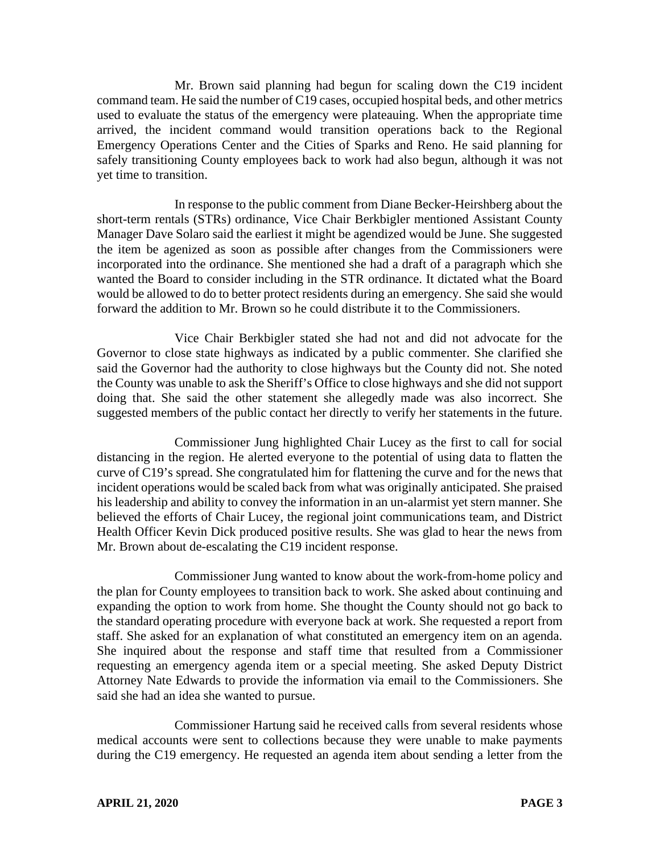Mr. Brown said planning had begun for scaling down the C19 incident command team. He said the number of C19 cases, occupied hospital beds, and other metrics used to evaluate the status of the emergency were plateauing. When the appropriate time arrived, the incident command would transition operations back to the Regional Emergency Operations Center and the Cities of Sparks and Reno. He said planning for safely transitioning County employees back to work had also begun, although it was not yet time to transition.

In response to the public comment from Diane Becker-Heirshberg about the short-term rentals (STRs) ordinance, Vice Chair Berkbigler mentioned Assistant County Manager Dave Solaro said the earliest it might be agendized would be June. She suggested the item be agenized as soon as possible after changes from the Commissioners were incorporated into the ordinance. She mentioned she had a draft of a paragraph which she wanted the Board to consider including in the STR ordinance. It dictated what the Board would be allowed to do to better protect residents during an emergency. She said she would forward the addition to Mr. Brown so he could distribute it to the Commissioners.

Vice Chair Berkbigler stated she had not and did not advocate for the Governor to close state highways as indicated by a public commenter. She clarified she said the Governor had the authority to close highways but the County did not. She noted the County was unable to ask the Sheriff's Office to close highways and she did not support doing that. She said the other statement she allegedly made was also incorrect. She suggested members of the public contact her directly to verify her statements in the future.

Commissioner Jung highlighted Chair Lucey as the first to call for social distancing in the region. He alerted everyone to the potential of using data to flatten the curve of C19's spread. She congratulated him for flattening the curve and for the news that incident operations would be scaled back from what was originally anticipated. She praised his leadership and ability to convey the information in an un-alarmist yet stern manner. She believed the efforts of Chair Lucey, the regional joint communications team, and District Health Officer Kevin Dick produced positive results. She was glad to hear the news from Mr. Brown about de-escalating the C19 incident response.

Commissioner Jung wanted to know about the work-from-home policy and the plan for County employees to transition back to work. She asked about continuing and expanding the option to work from home. She thought the County should not go back to the standard operating procedure with everyone back at work. She requested a report from staff. She asked for an explanation of what constituted an emergency item on an agenda. She inquired about the response and staff time that resulted from a Commissioner requesting an emergency agenda item or a special meeting. She asked Deputy District Attorney Nate Edwards to provide the information via email to the Commissioners. She said she had an idea she wanted to pursue.

Commissioner Hartung said he received calls from several residents whose medical accounts were sent to collections because they were unable to make payments during the C19 emergency. He requested an agenda item about sending a letter from the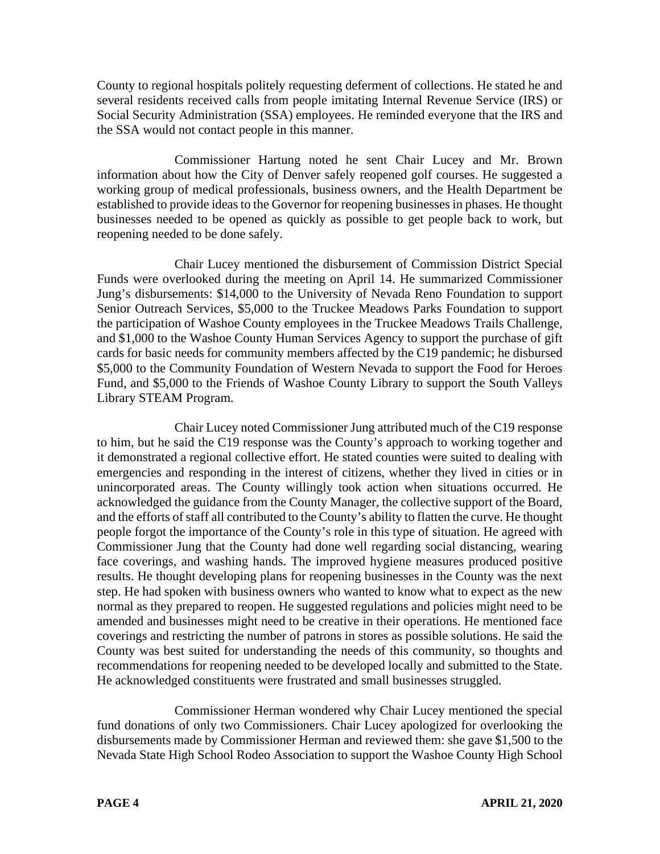County to regional hospitals politely requesting deferment of collections. He stated he and several residents received calls from people imitating Internal Revenue Service (IRS) or Social Security Administration (SSA) employees. He reminded everyone that the IRS and the SSA would not contact people in this manner.

Commissioner Hartung noted he sent Chair Lucey and Mr. Brown information about how the City of Denver safely reopened golf courses. He suggested a working group of medical professionals, business owners, and the Health Department be established to provide ideas to the Governor for reopening businesses in phases. He thought businesses needed to be opened as quickly as possible to get people back to work, but reopening needed to be done safely.

Chair Lucey mentioned the disbursement of Commission District Special Funds were overlooked during the meeting on April 14. He summarized Commissioner Jung's disbursements: \$14,000 to the University of Nevada Reno Foundation to support Senior Outreach Services, \$5,000 to the Truckee Meadows Parks Foundation to support the participation of Washoe County employees in the Truckee Meadows Trails Challenge, and \$1,000 to the Washoe County Human Services Agency to support the purchase of gift cards for basic needs for community members affected by the C19 pandemic; he disbursed \$5,000 to the Community Foundation of Western Nevada to support the Food for Heroes Fund, and \$5,000 to the Friends of Washoe County Library to support the South Valleys Library STEAM Program.

Chair Lucey noted Commissioner Jung attributed much of the C19 response to him, but he said the C19 response was the County's approach to working together and it demonstrated a regional collective effort. He stated counties were suited to dealing with emergencies and responding in the interest of citizens, whether they lived in cities or in unincorporated areas. The County willingly took action when situations occurred. He acknowledged the guidance from the County Manager, the collective support of the Board, and the efforts of staff all contributed to the County's ability to flatten the curve. He thought people forgot the importance of the County's role in this type of situation. He agreed with Commissioner Jung that the County had done well regarding social distancing, wearing face coverings, and washing hands. The improved hygiene measures produced positive results. He thought developing plans for reopening businesses in the County was the next step. He had spoken with business owners who wanted to know what to expect as the new normal as they prepared to reopen. He suggested regulations and policies might need to be amended and businesses might need to be creative in their operations. He mentioned face coverings and restricting the number of patrons in stores as possible solutions. He said the County was best suited for understanding the needs of this community, so thoughts and recommendations for reopening needed to be developed locally and submitted to the State. He acknowledged constituents were frustrated and small businesses struggled.

Commissioner Herman wondered why Chair Lucey mentioned the special fund donations of only two Commissioners. Chair Lucey apologized for overlooking the disbursements made by Commissioner Herman and reviewed them: she gave \$1,500 to the Nevada State High School Rodeo Association to support the Washoe County High School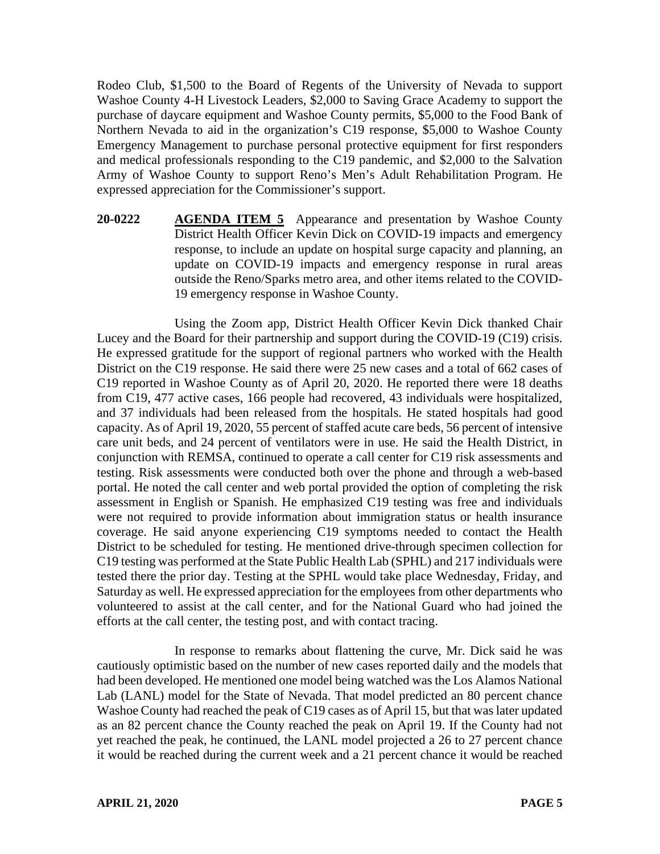Rodeo Club, \$1,500 to the Board of Regents of the University of Nevada to support Washoe County 4-H Livestock Leaders, \$2,000 to Saving Grace Academy to support the purchase of daycare equipment and Washoe County permits, \$5,000 to the Food Bank of Northern Nevada to aid in the organization's C19 response, \$5,000 to Washoe County Emergency Management to purchase personal protective equipment for first responders and medical professionals responding to the C19 pandemic, and \$2,000 to the Salvation Army of Washoe County to support Reno's Men's Adult Rehabilitation Program. He expressed appreciation for the Commissioner's support.

**20-0222 AGENDA ITEM 5** Appearance and presentation by Washoe County District Health Officer Kevin Dick on COVID-19 impacts and emergency response, to include an update on hospital surge capacity and planning, an update on COVID-19 impacts and emergency response in rural areas outside the Reno/Sparks metro area, and other items related to the COVID-19 emergency response in Washoe County.

Using the Zoom app, District Health Officer Kevin Dick thanked Chair Lucey and the Board for their partnership and support during the COVID-19 (C19) crisis. He expressed gratitude for the support of regional partners who worked with the Health District on the C19 response. He said there were 25 new cases and a total of 662 cases of C19 reported in Washoe County as of April 20, 2020. He reported there were 18 deaths from C19, 477 active cases, 166 people had recovered, 43 individuals were hospitalized, and 37 individuals had been released from the hospitals. He stated hospitals had good capacity. As of April 19, 2020, 55 percent of staffed acute care beds, 56 percent of intensive care unit beds, and 24 percent of ventilators were in use. He said the Health District, in conjunction with REMSA, continued to operate a call center for C19 risk assessments and testing. Risk assessments were conducted both over the phone and through a web-based portal. He noted the call center and web portal provided the option of completing the risk assessment in English or Spanish. He emphasized C19 testing was free and individuals were not required to provide information about immigration status or health insurance coverage. He said anyone experiencing C19 symptoms needed to contact the Health District to be scheduled for testing. He mentioned drive-through specimen collection for C19 testing was performed at the State Public Health Lab (SPHL) and 217 individuals were tested there the prior day. Testing at the SPHL would take place Wednesday, Friday, and Saturday as well. He expressed appreciation for the employees from other departments who volunteered to assist at the call center, and for the National Guard who had joined the efforts at the call center, the testing post, and with contact tracing.

In response to remarks about flattening the curve, Mr. Dick said he was cautiously optimistic based on the number of new cases reported daily and the models that had been developed. He mentioned one model being watched was the Los Alamos National Lab (LANL) model for the State of Nevada. That model predicted an 80 percent chance Washoe County had reached the peak of C19 cases as of April 15, but that was later updated as an 82 percent chance the County reached the peak on April 19. If the County had not yet reached the peak, he continued, the LANL model projected a 26 to 27 percent chance it would be reached during the current week and a 21 percent chance it would be reached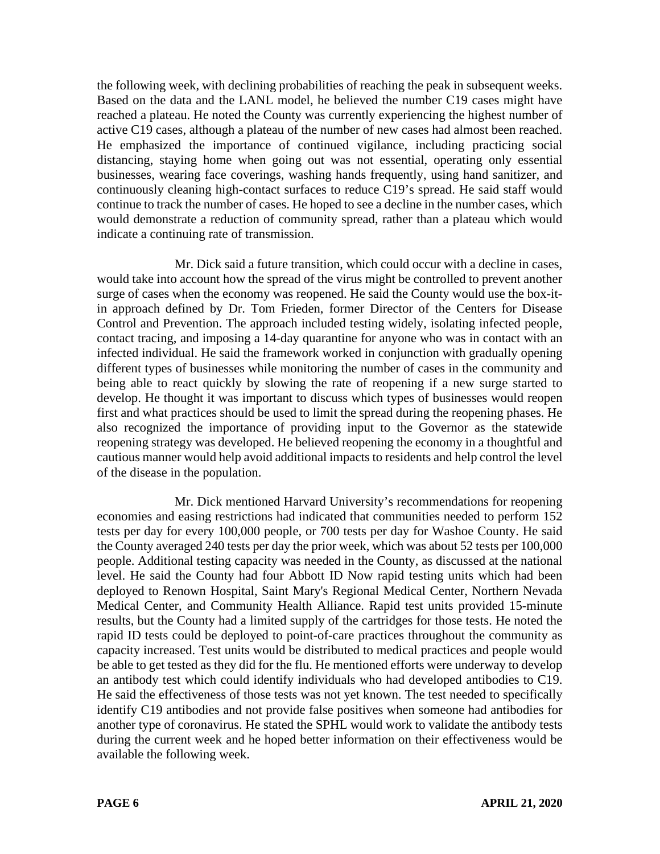the following week, with declining probabilities of reaching the peak in subsequent weeks. Based on the data and the LANL model, he believed the number C19 cases might have reached a plateau. He noted the County was currently experiencing the highest number of active C19 cases, although a plateau of the number of new cases had almost been reached. He emphasized the importance of continued vigilance, including practicing social distancing, staying home when going out was not essential, operating only essential businesses, wearing face coverings, washing hands frequently, using hand sanitizer, and continuously cleaning high-contact surfaces to reduce C19's spread. He said staff would continue to track the number of cases. He hoped to see a decline in the number cases, which would demonstrate a reduction of community spread, rather than a plateau which would indicate a continuing rate of transmission.

Mr. Dick said a future transition, which could occur with a decline in cases, would take into account how the spread of the virus might be controlled to prevent another surge of cases when the economy was reopened. He said the County would use the box-itin approach defined by Dr. Tom Frieden, former Director of the Centers for Disease Control and Prevention. The approach included testing widely, isolating infected people, contact tracing, and imposing a 14-day quarantine for anyone who was in contact with an infected individual. He said the framework worked in conjunction with gradually opening different types of businesses while monitoring the number of cases in the community and being able to react quickly by slowing the rate of reopening if a new surge started to develop. He thought it was important to discuss which types of businesses would reopen first and what practices should be used to limit the spread during the reopening phases. He also recognized the importance of providing input to the Governor as the statewide reopening strategy was developed. He believed reopening the economy in a thoughtful and cautious manner would help avoid additional impacts to residents and help control the level of the disease in the population.

Mr. Dick mentioned Harvard University's recommendations for reopening economies and easing restrictions had indicated that communities needed to perform 152 tests per day for every 100,000 people, or 700 tests per day for Washoe County. He said the County averaged 240 tests per day the prior week, which was about 52 tests per 100,000 people. Additional testing capacity was needed in the County, as discussed at the national level. He said the County had four Abbott ID Now rapid testing units which had been deployed to Renown Hospital, Saint Mary's Regional Medical Center, Northern Nevada Medical Center, and Community Health Alliance. Rapid test units provided 15-minute results, but the County had a limited supply of the cartridges for those tests. He noted the rapid ID tests could be deployed to point-of-care practices throughout the community as capacity increased. Test units would be distributed to medical practices and people would be able to get tested as they did for the flu. He mentioned efforts were underway to develop an antibody test which could identify individuals who had developed antibodies to C19. He said the effectiveness of those tests was not yet known. The test needed to specifically identify C19 antibodies and not provide false positives when someone had antibodies for another type of coronavirus. He stated the SPHL would work to validate the antibody tests during the current week and he hoped better information on their effectiveness would be available the following week.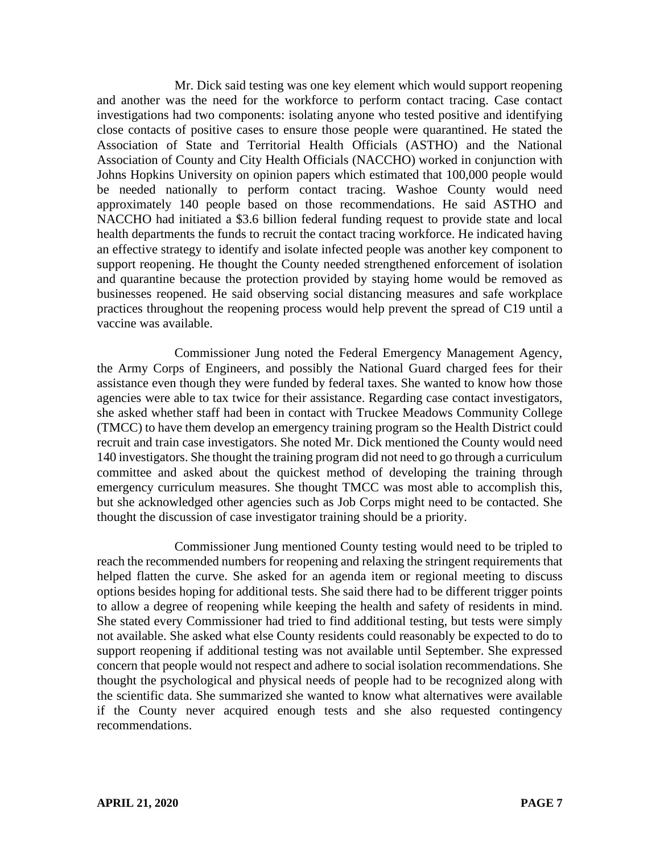Mr. Dick said testing was one key element which would support reopening and another was the need for the workforce to perform contact tracing. Case contact investigations had two components: isolating anyone who tested positive and identifying close contacts of positive cases to ensure those people were quarantined. He stated the Association of State and Territorial Health Officials (ASTHO) and the National Association of County and City Health Officials (NACCHO) worked in conjunction with Johns Hopkins University on opinion papers which estimated that 100,000 people would be needed nationally to perform contact tracing. Washoe County would need approximately 140 people based on those recommendations. He said ASTHO and NACCHO had initiated a \$3.6 billion federal funding request to provide state and local health departments the funds to recruit the contact tracing workforce. He indicated having an effective strategy to identify and isolate infected people was another key component to support reopening. He thought the County needed strengthened enforcement of isolation and quarantine because the protection provided by staying home would be removed as businesses reopened. He said observing social distancing measures and safe workplace practices throughout the reopening process would help prevent the spread of C19 until a vaccine was available.

Commissioner Jung noted the Federal Emergency Management Agency, the Army Corps of Engineers, and possibly the National Guard charged fees for their assistance even though they were funded by federal taxes. She wanted to know how those agencies were able to tax twice for their assistance. Regarding case contact investigators, she asked whether staff had been in contact with Truckee Meadows Community College (TMCC) to have them develop an emergency training program so the Health District could recruit and train case investigators. She noted Mr. Dick mentioned the County would need 140 investigators. She thought the training program did not need to go through a curriculum committee and asked about the quickest method of developing the training through emergency curriculum measures. She thought TMCC was most able to accomplish this, but she acknowledged other agencies such as Job Corps might need to be contacted. She thought the discussion of case investigator training should be a priority.

Commissioner Jung mentioned County testing would need to be tripled to reach the recommended numbers for reopening and relaxing the stringent requirements that helped flatten the curve. She asked for an agenda item or regional meeting to discuss options besides hoping for additional tests. She said there had to be different trigger points to allow a degree of reopening while keeping the health and safety of residents in mind. She stated every Commissioner had tried to find additional testing, but tests were simply not available. She asked what else County residents could reasonably be expected to do to support reopening if additional testing was not available until September. She expressed concern that people would not respect and adhere to social isolation recommendations. She thought the psychological and physical needs of people had to be recognized along with the scientific data. She summarized she wanted to know what alternatives were available if the County never acquired enough tests and she also requested contingency recommendations.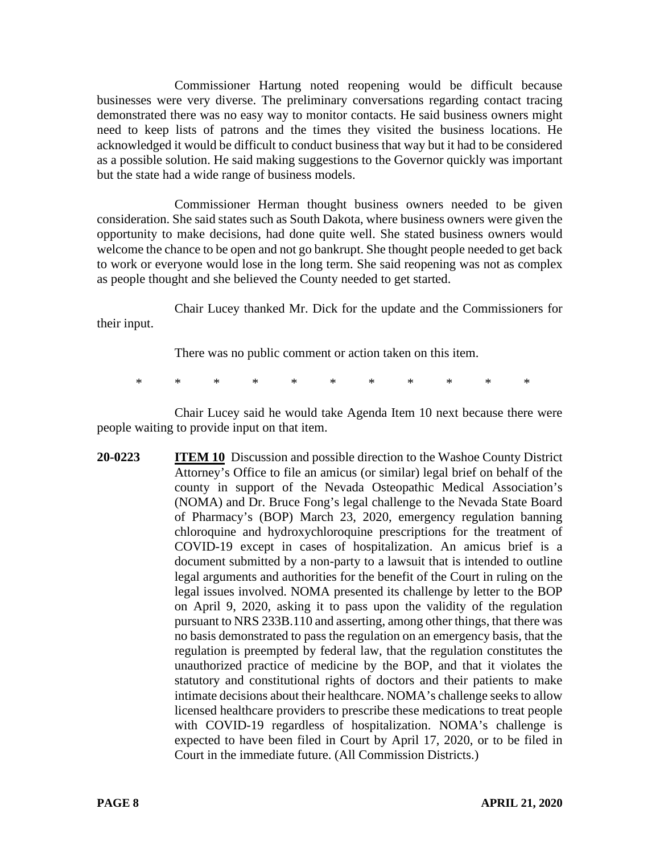Commissioner Hartung noted reopening would be difficult because businesses were very diverse. The preliminary conversations regarding contact tracing demonstrated there was no easy way to monitor contacts. He said business owners might need to keep lists of patrons and the times they visited the business locations. He acknowledged it would be difficult to conduct business that way but it had to be considered as a possible solution. He said making suggestions to the Governor quickly was important but the state had a wide range of business models.

Commissioner Herman thought business owners needed to be given consideration. She said states such as South Dakota, where business owners were given the opportunity to make decisions, had done quite well. She stated business owners would welcome the chance to be open and not go bankrupt. She thought people needed to get back to work or everyone would lose in the long term. She said reopening was not as complex as people thought and she believed the County needed to get started.

Chair Lucey thanked Mr. Dick for the update and the Commissioners for their input.

There was no public comment or action taken on this item.

\* \* \* \* \* \* \* \* \* \* \*

Chair Lucey said he would take Agenda Item 10 next because there were people waiting to provide input on that item.

**20-0223 ITEM 10** Discussion and possible direction to the Washoe County District Attorney's Office to file an amicus (or similar) legal brief on behalf of the county in support of the Nevada Osteopathic Medical Association's (NOMA) and Dr. Bruce Fong's legal challenge to the Nevada State Board of Pharmacy's (BOP) March 23, 2020, emergency regulation banning chloroquine and hydroxychloroquine prescriptions for the treatment of COVID-19 except in cases of hospitalization. An amicus brief is a document submitted by a non-party to a lawsuit that is intended to outline legal arguments and authorities for the benefit of the Court in ruling on the legal issues involved. NOMA presented its challenge by letter to the BOP on April 9, 2020, asking it to pass upon the validity of the regulation pursuant to NRS 233B.110 and asserting, among other things, that there was no basis demonstrated to pass the regulation on an emergency basis, that the regulation is preempted by federal law, that the regulation constitutes the unauthorized practice of medicine by the BOP, and that it violates the statutory and constitutional rights of doctors and their patients to make intimate decisions about their healthcare. NOMA's challenge seeks to allow licensed healthcare providers to prescribe these medications to treat people with COVID-19 regardless of hospitalization. NOMA's challenge is expected to have been filed in Court by April 17, 2020, or to be filed in Court in the immediate future. (All Commission Districts.)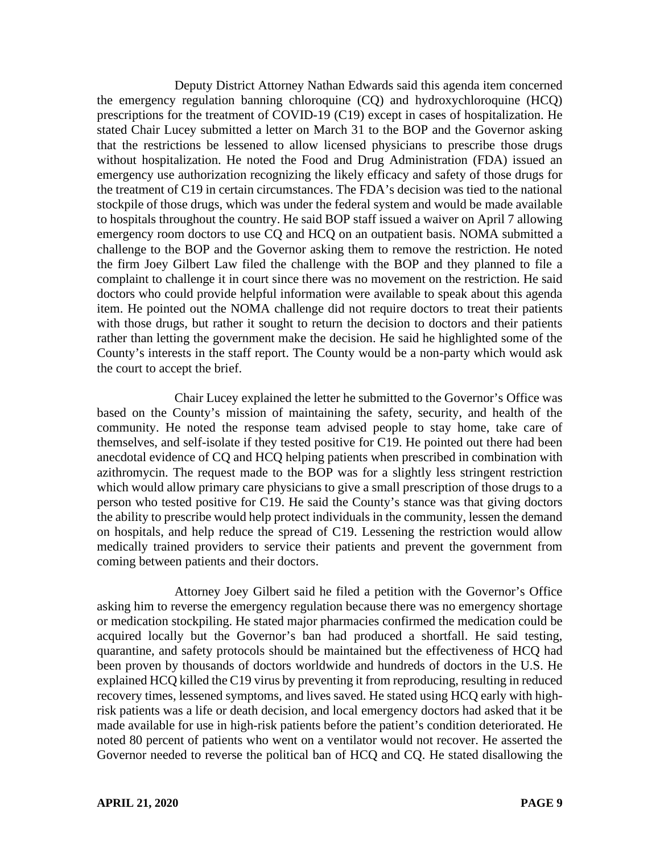Deputy District Attorney Nathan Edwards said this agenda item concerned the emergency regulation banning chloroquine (CQ) and hydroxychloroquine (HCQ) prescriptions for the treatment of COVID-19 (C19) except in cases of hospitalization. He stated Chair Lucey submitted a letter on March 31 to the BOP and the Governor asking that the restrictions be lessened to allow licensed physicians to prescribe those drugs without hospitalization. He noted the Food and Drug Administration (FDA) issued an emergency use authorization recognizing the likely efficacy and safety of those drugs for the treatment of C19 in certain circumstances. The FDA's decision was tied to the national stockpile of those drugs, which was under the federal system and would be made available to hospitals throughout the country. He said BOP staff issued a waiver on April 7 allowing emergency room doctors to use CQ and HCQ on an outpatient basis. NOMA submitted a challenge to the BOP and the Governor asking them to remove the restriction. He noted the firm Joey Gilbert Law filed the challenge with the BOP and they planned to file a complaint to challenge it in court since there was no movement on the restriction. He said doctors who could provide helpful information were available to speak about this agenda item. He pointed out the NOMA challenge did not require doctors to treat their patients with those drugs, but rather it sought to return the decision to doctors and their patients rather than letting the government make the decision. He said he highlighted some of the County's interests in the staff report. The County would be a non-party which would ask the court to accept the brief.

Chair Lucey explained the letter he submitted to the Governor's Office was based on the County's mission of maintaining the safety, security, and health of the community. He noted the response team advised people to stay home, take care of themselves, and self-isolate if they tested positive for C19. He pointed out there had been anecdotal evidence of CQ and HCQ helping patients when prescribed in combination with azithromycin. The request made to the BOP was for a slightly less stringent restriction which would allow primary care physicians to give a small prescription of those drugs to a person who tested positive for C19. He said the County's stance was that giving doctors the ability to prescribe would help protect individuals in the community, lessen the demand on hospitals, and help reduce the spread of C19. Lessening the restriction would allow medically trained providers to service their patients and prevent the government from coming between patients and their doctors.

Attorney Joey Gilbert said he filed a petition with the Governor's Office asking him to reverse the emergency regulation because there was no emergency shortage or medication stockpiling. He stated major pharmacies confirmed the medication could be acquired locally but the Governor's ban had produced a shortfall. He said testing, quarantine, and safety protocols should be maintained but the effectiveness of HCQ had been proven by thousands of doctors worldwide and hundreds of doctors in the U.S. He explained HCQ killed the C19 virus by preventing it from reproducing, resulting in reduced recovery times, lessened symptoms, and lives saved. He stated using HCQ early with highrisk patients was a life or death decision, and local emergency doctors had asked that it be made available for use in high-risk patients before the patient's condition deteriorated. He noted 80 percent of patients who went on a ventilator would not recover. He asserted the Governor needed to reverse the political ban of HCQ and CQ. He stated disallowing the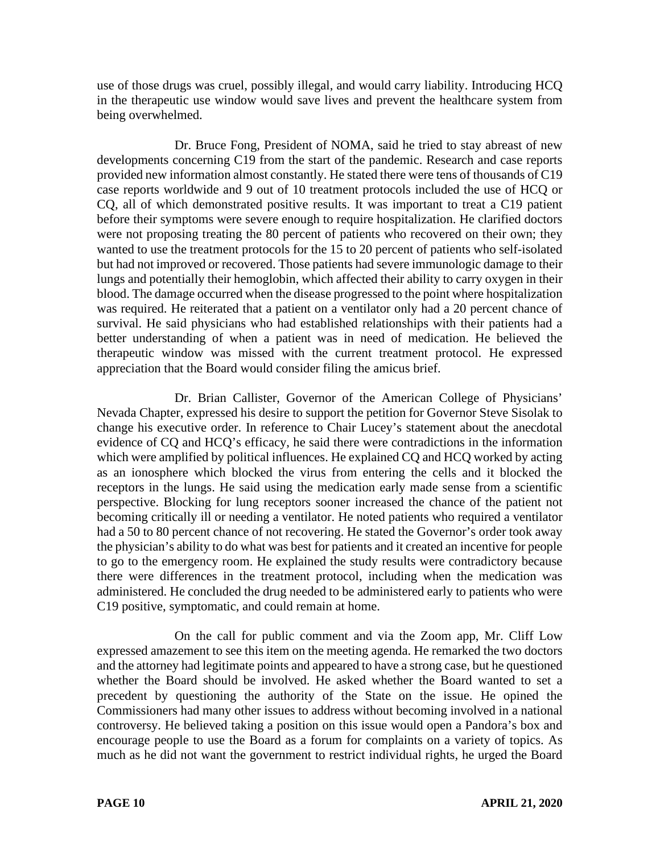use of those drugs was cruel, possibly illegal, and would carry liability. Introducing HCQ in the therapeutic use window would save lives and prevent the healthcare system from being overwhelmed.

Dr. Bruce Fong, President of NOMA, said he tried to stay abreast of new developments concerning C19 from the start of the pandemic. Research and case reports provided new information almost constantly. He stated there were tens of thousands of C19 case reports worldwide and 9 out of 10 treatment protocols included the use of HCQ or CQ, all of which demonstrated positive results. It was important to treat a C19 patient before their symptoms were severe enough to require hospitalization. He clarified doctors were not proposing treating the 80 percent of patients who recovered on their own; they wanted to use the treatment protocols for the 15 to 20 percent of patients who self-isolated but had not improved or recovered. Those patients had severe immunologic damage to their lungs and potentially their hemoglobin, which affected their ability to carry oxygen in their blood. The damage occurred when the disease progressed to the point where hospitalization was required. He reiterated that a patient on a ventilator only had a 20 percent chance of survival. He said physicians who had established relationships with their patients had a better understanding of when a patient was in need of medication. He believed the therapeutic window was missed with the current treatment protocol. He expressed appreciation that the Board would consider filing the amicus brief.

Dr. Brian Callister, Governor of the American College of Physicians' Nevada Chapter, expressed his desire to support the petition for Governor Steve Sisolak to change his executive order. In reference to Chair Lucey's statement about the anecdotal evidence of CQ and HCQ's efficacy, he said there were contradictions in the information which were amplified by political influences. He explained CQ and HCQ worked by acting as an ionosphere which blocked the virus from entering the cells and it blocked the receptors in the lungs. He said using the medication early made sense from a scientific perspective. Blocking for lung receptors sooner increased the chance of the patient not becoming critically ill or needing a ventilator. He noted patients who required a ventilator had a 50 to 80 percent chance of not recovering. He stated the Governor's order took away the physician's ability to do what was best for patients and it created an incentive for people to go to the emergency room. He explained the study results were contradictory because there were differences in the treatment protocol, including when the medication was administered. He concluded the drug needed to be administered early to patients who were C19 positive, symptomatic, and could remain at home.

On the call for public comment and via the Zoom app, Mr. Cliff Low expressed amazement to see this item on the meeting agenda. He remarked the two doctors and the attorney had legitimate points and appeared to have a strong case, but he questioned whether the Board should be involved. He asked whether the Board wanted to set a precedent by questioning the authority of the State on the issue. He opined the Commissioners had many other issues to address without becoming involved in a national controversy. He believed taking a position on this issue would open a Pandora's box and encourage people to use the Board as a forum for complaints on a variety of topics. As much as he did not want the government to restrict individual rights, he urged the Board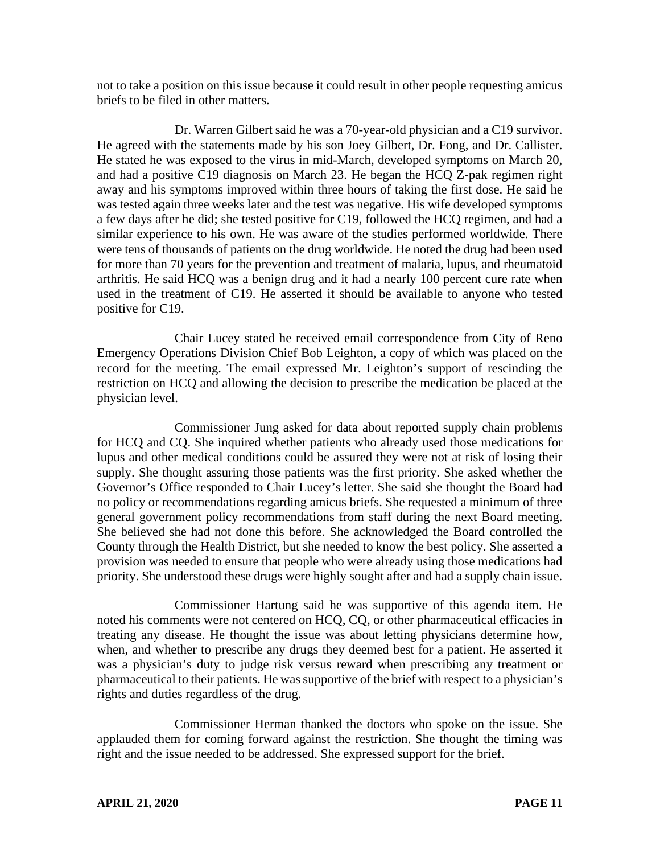not to take a position on this issue because it could result in other people requesting amicus briefs to be filed in other matters.

Dr. Warren Gilbert said he was a 70-year-old physician and a C19 survivor. He agreed with the statements made by his son Joey Gilbert, Dr. Fong, and Dr. Callister. He stated he was exposed to the virus in mid-March, developed symptoms on March 20, and had a positive C19 diagnosis on March 23. He began the HCQ Z-pak regimen right away and his symptoms improved within three hours of taking the first dose. He said he was tested again three weeks later and the test was negative. His wife developed symptoms a few days after he did; she tested positive for C19, followed the HCQ regimen, and had a similar experience to his own. He was aware of the studies performed worldwide. There were tens of thousands of patients on the drug worldwide. He noted the drug had been used for more than 70 years for the prevention and treatment of malaria, lupus, and rheumatoid arthritis. He said HCQ was a benign drug and it had a nearly 100 percent cure rate when used in the treatment of C19. He asserted it should be available to anyone who tested positive for C19.

Chair Lucey stated he received email correspondence from City of Reno Emergency Operations Division Chief Bob Leighton, a copy of which was placed on the record for the meeting. The email expressed Mr. Leighton's support of rescinding the restriction on HCQ and allowing the decision to prescribe the medication be placed at the physician level.

Commissioner Jung asked for data about reported supply chain problems for HCQ and CQ. She inquired whether patients who already used those medications for lupus and other medical conditions could be assured they were not at risk of losing their supply. She thought assuring those patients was the first priority. She asked whether the Governor's Office responded to Chair Lucey's letter. She said she thought the Board had no policy or recommendations regarding amicus briefs. She requested a minimum of three general government policy recommendations from staff during the next Board meeting. She believed she had not done this before. She acknowledged the Board controlled the County through the Health District, but she needed to know the best policy. She asserted a provision was needed to ensure that people who were already using those medications had priority. She understood these drugs were highly sought after and had a supply chain issue.

Commissioner Hartung said he was supportive of this agenda item. He noted his comments were not centered on HCQ, CQ, or other pharmaceutical efficacies in treating any disease. He thought the issue was about letting physicians determine how, when, and whether to prescribe any drugs they deemed best for a patient. He asserted it was a physician's duty to judge risk versus reward when prescribing any treatment or pharmaceutical to their patients. He was supportive of the brief with respect to a physician's rights and duties regardless of the drug.

Commissioner Herman thanked the doctors who spoke on the issue. She applauded them for coming forward against the restriction. She thought the timing was right and the issue needed to be addressed. She expressed support for the brief.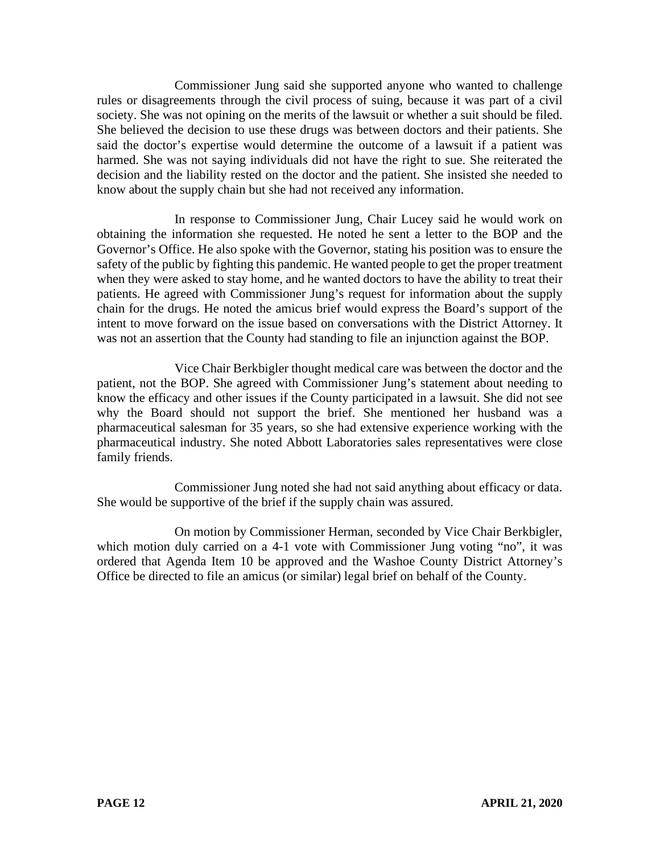Commissioner Jung said she supported anyone who wanted to challenge rules or disagreements through the civil process of suing, because it was part of a civil society. She was not opining on the merits of the lawsuit or whether a suit should be filed. She believed the decision to use these drugs was between doctors and their patients. She said the doctor's expertise would determine the outcome of a lawsuit if a patient was harmed. She was not saying individuals did not have the right to sue. She reiterated the decision and the liability rested on the doctor and the patient. She insisted she needed to know about the supply chain but she had not received any information.

In response to Commissioner Jung, Chair Lucey said he would work on obtaining the information she requested. He noted he sent a letter to the BOP and the Governor's Office. He also spoke with the Governor, stating his position was to ensure the safety of the public by fighting this pandemic. He wanted people to get the proper treatment when they were asked to stay home, and he wanted doctors to have the ability to treat their patients. He agreed with Commissioner Jung's request for information about the supply chain for the drugs. He noted the amicus brief would express the Board's support of the intent to move forward on the issue based on conversations with the District Attorney. It was not an assertion that the County had standing to file an injunction against the BOP.

Vice Chair Berkbigler thought medical care was between the doctor and the patient, not the BOP. She agreed with Commissioner Jung's statement about needing to know the efficacy and other issues if the County participated in a lawsuit. She did not see why the Board should not support the brief. She mentioned her husband was a pharmaceutical salesman for 35 years, so she had extensive experience working with the pharmaceutical industry. She noted Abbott Laboratories sales representatives were close family friends.

Commissioner Jung noted she had not said anything about efficacy or data. She would be supportive of the brief if the supply chain was assured.

On motion by Commissioner Herman, seconded by Vice Chair Berkbigler, which motion duly carried on a 4-1 vote with Commissioner Jung voting "no", it was ordered that Agenda Item 10 be approved and the Washoe County District Attorney's Office be directed to file an amicus (or similar) legal brief on behalf of the County.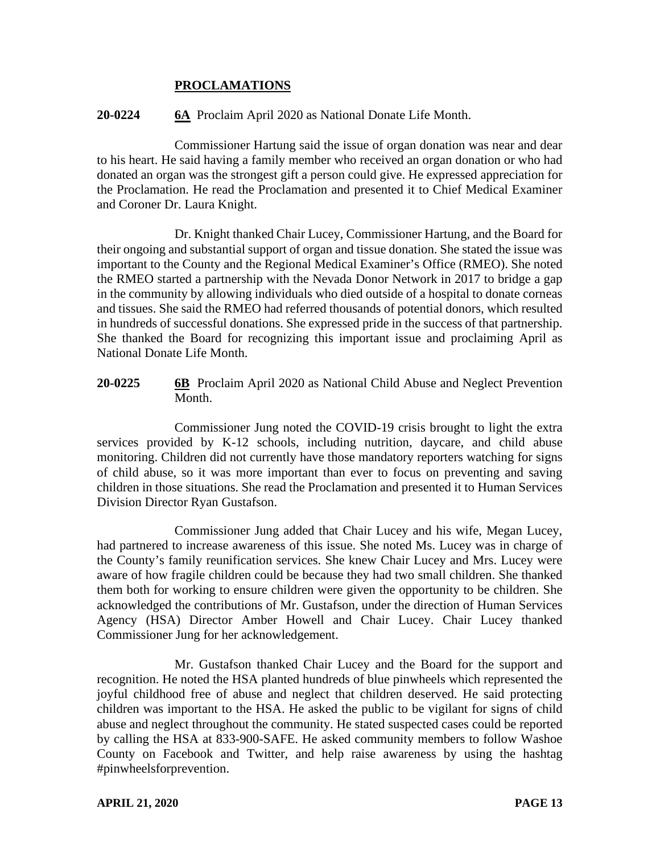## **PROCLAMATIONS**

### **20-0224 6A** Proclaim April 2020 as National Donate Life Month.

Commissioner Hartung said the issue of organ donation was near and dear to his heart. He said having a family member who received an organ donation or who had donated an organ was the strongest gift a person could give. He expressed appreciation for the Proclamation. He read the Proclamation and presented it to Chief Medical Examiner and Coroner Dr. Laura Knight.

Dr. Knight thanked Chair Lucey, Commissioner Hartung, and the Board for their ongoing and substantial support of organ and tissue donation. She stated the issue was important to the County and the Regional Medical Examiner's Office (RMEO). She noted the RMEO started a partnership with the Nevada Donor Network in 2017 to bridge a gap in the community by allowing individuals who died outside of a hospital to donate corneas and tissues. She said the RMEO had referred thousands of potential donors, which resulted in hundreds of successful donations. She expressed pride in the success of that partnership. She thanked the Board for recognizing this important issue and proclaiming April as National Donate Life Month.

**20-0225 6B** Proclaim April 2020 as National Child Abuse and Neglect Prevention Month.

Commissioner Jung noted the COVID-19 crisis brought to light the extra services provided by K-12 schools, including nutrition, daycare, and child abuse monitoring. Children did not currently have those mandatory reporters watching for signs of child abuse, so it was more important than ever to focus on preventing and saving children in those situations. She read the Proclamation and presented it to Human Services Division Director Ryan Gustafson.

Commissioner Jung added that Chair Lucey and his wife, Megan Lucey, had partnered to increase awareness of this issue. She noted Ms. Lucey was in charge of the County's family reunification services. She knew Chair Lucey and Mrs. Lucey were aware of how fragile children could be because they had two small children. She thanked them both for working to ensure children were given the opportunity to be children. She acknowledged the contributions of Mr. Gustafson, under the direction of Human Services Agency (HSA) Director Amber Howell and Chair Lucey. Chair Lucey thanked Commissioner Jung for her acknowledgement.

Mr. Gustafson thanked Chair Lucey and the Board for the support and recognition. He noted the HSA planted hundreds of blue pinwheels which represented the joyful childhood free of abuse and neglect that children deserved. He said protecting children was important to the HSA. He asked the public to be vigilant for signs of child abuse and neglect throughout the community. He stated suspected cases could be reported by calling the HSA at 833-900-SAFE. He asked community members to follow Washoe County on Facebook and Twitter, and help raise awareness by using the hashtag #pinwheelsforprevention.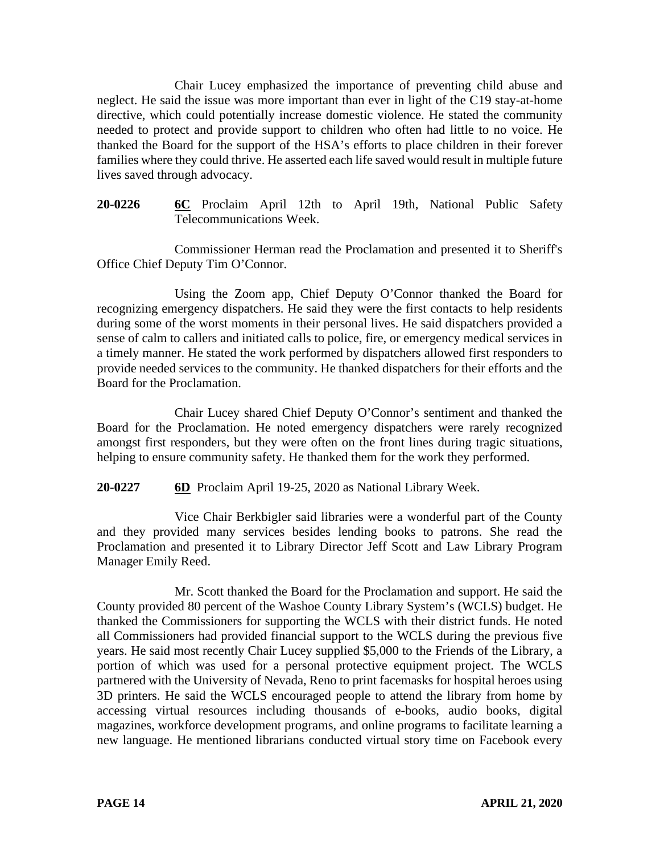Chair Lucey emphasized the importance of preventing child abuse and neglect. He said the issue was more important than ever in light of the C19 stay-at-home directive, which could potentially increase domestic violence. He stated the community needed to protect and provide support to children who often had little to no voice. He thanked the Board for the support of the HSA's efforts to place children in their forever families where they could thrive. He asserted each life saved would result in multiple future lives saved through advocacy.

**20-0226 6C** Proclaim April 12th to April 19th, National Public Safety Telecommunications Week.

Commissioner Herman read the Proclamation and presented it to Sheriff's Office Chief Deputy Tim O'Connor.

Using the Zoom app, Chief Deputy O'Connor thanked the Board for recognizing emergency dispatchers. He said they were the first contacts to help residents during some of the worst moments in their personal lives. He said dispatchers provided a sense of calm to callers and initiated calls to police, fire, or emergency medical services in a timely manner. He stated the work performed by dispatchers allowed first responders to provide needed services to the community. He thanked dispatchers for their efforts and the Board for the Proclamation.

Chair Lucey shared Chief Deputy O'Connor's sentiment and thanked the Board for the Proclamation. He noted emergency dispatchers were rarely recognized amongst first responders, but they were often on the front lines during tragic situations, helping to ensure community safety. He thanked them for the work they performed.

**20-0227 6D** Proclaim April 19-25, 2020 as National Library Week.

Vice Chair Berkbigler said libraries were a wonderful part of the County and they provided many services besides lending books to patrons. She read the Proclamation and presented it to Library Director Jeff Scott and Law Library Program Manager Emily Reed.

Mr. Scott thanked the Board for the Proclamation and support. He said the County provided 80 percent of the Washoe County Library System's (WCLS) budget. He thanked the Commissioners for supporting the WCLS with their district funds. He noted all Commissioners had provided financial support to the WCLS during the previous five years. He said most recently Chair Lucey supplied \$5,000 to the Friends of the Library, a portion of which was used for a personal protective equipment project. The WCLS partnered with the University of Nevada, Reno to print facemasks for hospital heroes using 3D printers. He said the WCLS encouraged people to attend the library from home by accessing virtual resources including thousands of e-books, audio books, digital magazines, workforce development programs, and online programs to facilitate learning a new language. He mentioned librarians conducted virtual story time on Facebook every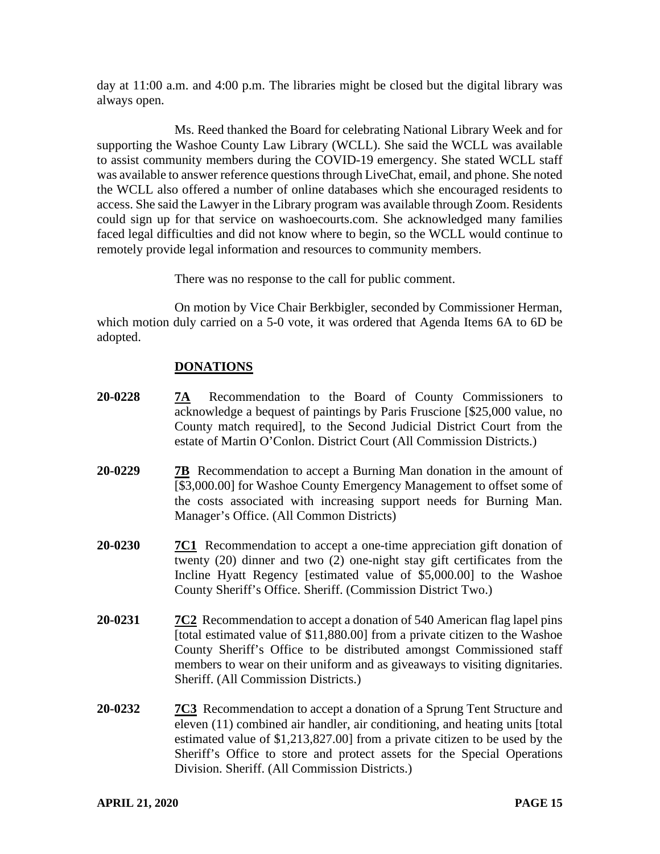day at 11:00 a.m. and 4:00 p.m. The libraries might be closed but the digital library was always open.

Ms. Reed thanked the Board for celebrating National Library Week and for supporting the Washoe County Law Library (WCLL). She said the WCLL was available to assist community members during the COVID-19 emergency. She stated WCLL staff was available to answer reference questions through LiveChat, email, and phone. She noted the WCLL also offered a number of online databases which she encouraged residents to access. She said the Lawyer in the Library program was available through Zoom. Residents could sign up for that service on washoecourts.com. She acknowledged many families faced legal difficulties and did not know where to begin, so the WCLL would continue to remotely provide legal information and resources to community members.

There was no response to the call for public comment.

On motion by Vice Chair Berkbigler, seconded by Commissioner Herman, which motion duly carried on a 5-0 vote, it was ordered that Agenda Items 6A to 6D be adopted.

# **DONATIONS**

- **20-0228 7A** Recommendation to the Board of County Commissioners to acknowledge a bequest of paintings by Paris Fruscione [\$25,000 value, no County match required], to the Second Judicial District Court from the estate of Martin O'Conlon. District Court (All Commission Districts.)
- **20-0229 7B** Recommendation to accept a Burning Man donation in the amount of [\$3,000.00] for Washoe County Emergency Management to offset some of the costs associated with increasing support needs for Burning Man. Manager's Office. (All Common Districts)
- **20-0230 7C1** Recommendation to accept a one-time appreciation gift donation of twenty (20) dinner and two (2) one-night stay gift certificates from the Incline Hyatt Regency [estimated value of \$5,000.00] to the Washoe County Sheriff's Office. Sheriff. (Commission District Two.)
- **20-0231 7C2** Recommendation to accept a donation of 540 American flag lapel pins [total estimated value of \$11,880.00] from a private citizen to the Washoe County Sheriff's Office to be distributed amongst Commissioned staff members to wear on their uniform and as giveaways to visiting dignitaries. Sheriff. (All Commission Districts.)
- **20-0232 7C3** Recommendation to accept a donation of a Sprung Tent Structure and eleven (11) combined air handler, air conditioning, and heating units [total estimated value of \$1,213,827.00] from a private citizen to be used by the Sheriff's Office to store and protect assets for the Special Operations Division. Sheriff. (All Commission Districts.)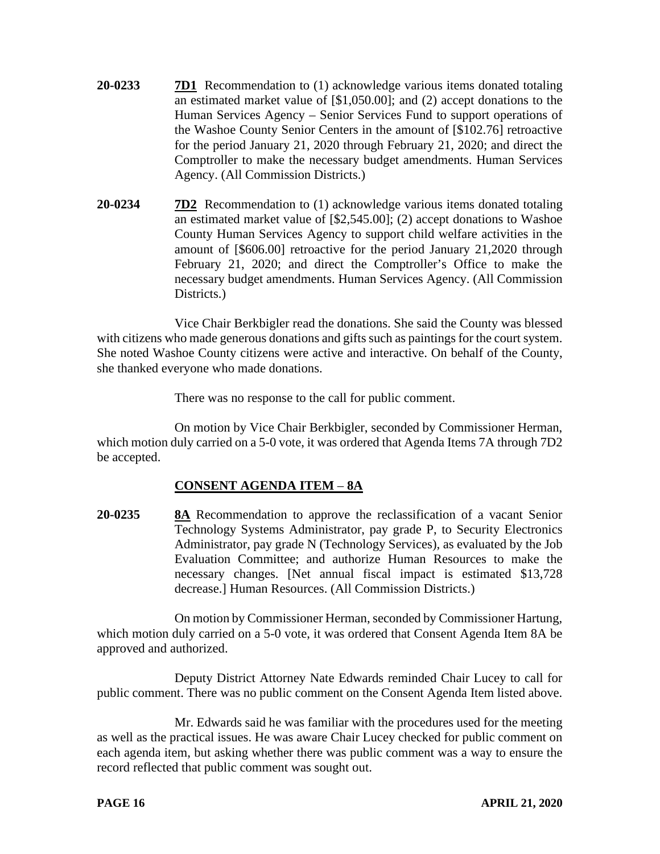- **20-0233 7D1** Recommendation to (1) acknowledge various items donated totaling an estimated market value of [\$1,050.00]; and (2) accept donations to the Human Services Agency – Senior Services Fund to support operations of the Washoe County Senior Centers in the amount of [\$102.76] retroactive for the period January 21, 2020 through February 21, 2020; and direct the Comptroller to make the necessary budget amendments. Human Services Agency. (All Commission Districts.)
- **20-0234 7D2** Recommendation to (1) acknowledge various items donated totaling an estimated market value of [\$2,545.00]; (2) accept donations to Washoe County Human Services Agency to support child welfare activities in the amount of [\$606.00] retroactive for the period January 21,2020 through February 21, 2020; and direct the Comptroller's Office to make the necessary budget amendments. Human Services Agency. (All Commission Districts.

Vice Chair Berkbigler read the donations. She said the County was blessed with citizens who made generous donations and gifts such as paintings for the court system. She noted Washoe County citizens were active and interactive. On behalf of the County, she thanked everyone who made donations.

There was no response to the call for public comment.

On motion by Vice Chair Berkbigler, seconded by Commissioner Herman, which motion duly carried on a 5-0 vote, it was ordered that Agenda Items 7A through 7D2 be accepted.

# **CONSENT AGENDA ITEM** – **8A**

**20-0235 8A** Recommendation to approve the reclassification of a vacant Senior Technology Systems Administrator, pay grade P, to Security Electronics Administrator, pay grade N (Technology Services), as evaluated by the Job Evaluation Committee; and authorize Human Resources to make the necessary changes. [Net annual fiscal impact is estimated \$13,728 decrease.] Human Resources. (All Commission Districts.)

On motion by Commissioner Herman, seconded by Commissioner Hartung, which motion duly carried on a 5-0 vote, it was ordered that Consent Agenda Item 8A be approved and authorized.

Deputy District Attorney Nate Edwards reminded Chair Lucey to call for public comment. There was no public comment on the Consent Agenda Item listed above.

Mr. Edwards said he was familiar with the procedures used for the meeting as well as the practical issues. He was aware Chair Lucey checked for public comment on each agenda item, but asking whether there was public comment was a way to ensure the record reflected that public comment was sought out.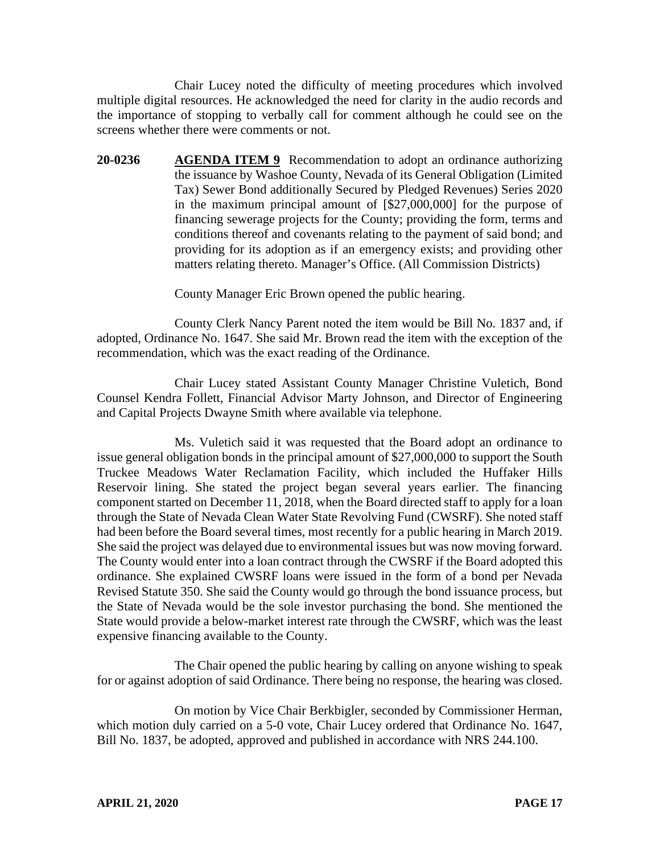Chair Lucey noted the difficulty of meeting procedures which involved multiple digital resources. He acknowledged the need for clarity in the audio records and the importance of stopping to verbally call for comment although he could see on the screens whether there were comments or not.

**20-0236 AGENDA ITEM 9** Recommendation to adopt an ordinance authorizing the issuance by Washoe County, Nevada of its General Obligation (Limited Tax) Sewer Bond additionally Secured by Pledged Revenues) Series 2020 in the maximum principal amount of [\$27,000,000] for the purpose of financing sewerage projects for the County; providing the form, terms and conditions thereof and covenants relating to the payment of said bond; and providing for its adoption as if an emergency exists; and providing other matters relating thereto. Manager's Office. (All Commission Districts)

County Manager Eric Brown opened the public hearing.

County Clerk Nancy Parent noted the item would be Bill No. 1837 and, if adopted, Ordinance No. 1647. She said Mr. Brown read the item with the exception of the recommendation, which was the exact reading of the Ordinance.

Chair Lucey stated Assistant County Manager Christine Vuletich, Bond Counsel Kendra Follett, Financial Advisor Marty Johnson, and Director of Engineering and Capital Projects Dwayne Smith where available via telephone.

Ms. Vuletich said it was requested that the Board adopt an ordinance to issue general obligation bonds in the principal amount of \$27,000,000 to support the South Truckee Meadows Water Reclamation Facility, which included the Huffaker Hills Reservoir lining. She stated the project began several years earlier. The financing component started on December 11, 2018, when the Board directed staff to apply for a loan through the State of Nevada Clean Water State Revolving Fund (CWSRF). She noted staff had been before the Board several times, most recently for a public hearing in March 2019. She said the project was delayed due to environmental issues but was now moving forward. The County would enter into a loan contract through the CWSRF if the Board adopted this ordinance. She explained CWSRF loans were issued in the form of a bond per Nevada Revised Statute 350. She said the County would go through the bond issuance process, but the State of Nevada would be the sole investor purchasing the bond. She mentioned the State would provide a below-market interest rate through the CWSRF, which was the least expensive financing available to the County.

The Chair opened the public hearing by calling on anyone wishing to speak for or against adoption of said Ordinance. There being no response, the hearing was closed.

On motion by Vice Chair Berkbigler, seconded by Commissioner Herman, which motion duly carried on a 5-0 vote, Chair Lucey ordered that Ordinance No. 1647, Bill No. 1837, be adopted, approved and published in accordance with NRS 244.100.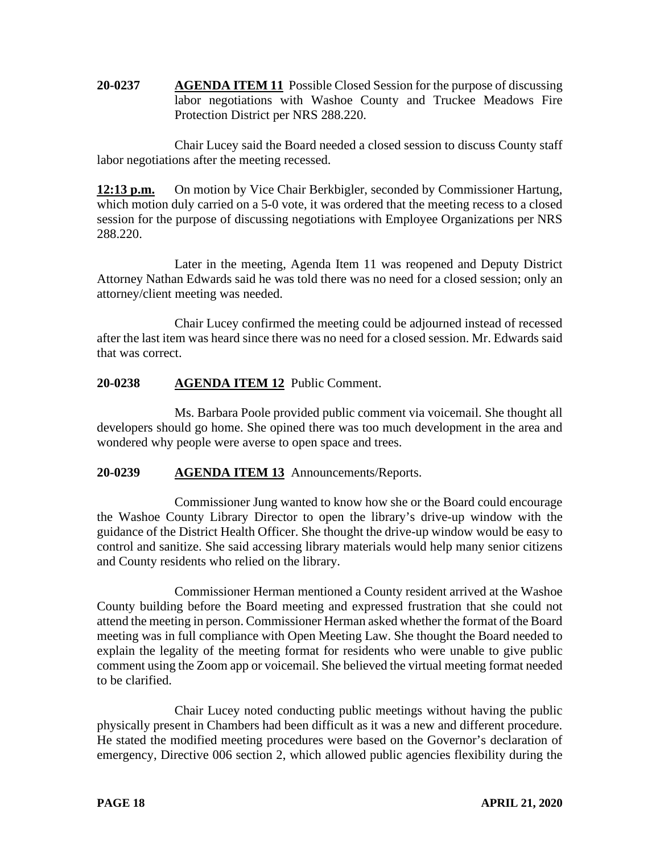**20-0237 AGENDA ITEM 11** Possible Closed Session for the purpose of discussing labor negotiations with Washoe County and Truckee Meadows Fire Protection District per NRS 288.220.

Chair Lucey said the Board needed a closed session to discuss County staff labor negotiations after the meeting recessed.

**12:13 p.m.** On motion by Vice Chair Berkbigler, seconded by Commissioner Hartung, which motion duly carried on a 5-0 vote, it was ordered that the meeting recess to a closed session for the purpose of discussing negotiations with Employee Organizations per NRS 288.220.

Later in the meeting, Agenda Item 11 was reopened and Deputy District Attorney Nathan Edwards said he was told there was no need for a closed session; only an attorney/client meeting was needed.

Chair Lucey confirmed the meeting could be adjourned instead of recessed after the last item was heard since there was no need for a closed session. Mr. Edwards said that was correct.

# **20-0238 AGENDA ITEM 12** Public Comment.

Ms. Barbara Poole provided public comment via voicemail. She thought all developers should go home. She opined there was too much development in the area and wondered why people were averse to open space and trees.

# **20-0239 AGENDA ITEM 13** Announcements/Reports.

Commissioner Jung wanted to know how she or the Board could encourage the Washoe County Library Director to open the library's drive-up window with the guidance of the District Health Officer. She thought the drive-up window would be easy to control and sanitize. She said accessing library materials would help many senior citizens and County residents who relied on the library.

Commissioner Herman mentioned a County resident arrived at the Washoe County building before the Board meeting and expressed frustration that she could not attend the meeting in person. Commissioner Herman asked whether the format of the Board meeting was in full compliance with Open Meeting Law. She thought the Board needed to explain the legality of the meeting format for residents who were unable to give public comment using the Zoom app or voicemail. She believed the virtual meeting format needed to be clarified.

Chair Lucey noted conducting public meetings without having the public physically present in Chambers had been difficult as it was a new and different procedure. He stated the modified meeting procedures were based on the Governor's declaration of emergency, Directive 006 section 2, which allowed public agencies flexibility during the